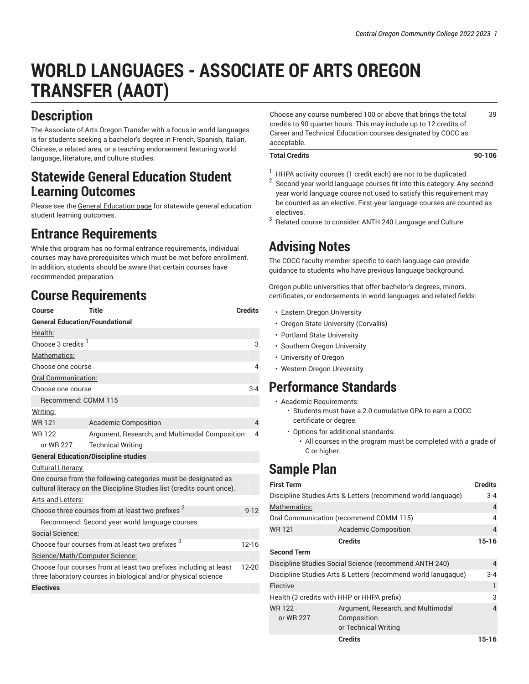# **WORLD LANGUAGES - ASSOCIATE OF ARTS OREGON TRANSFER (AAOT)**

# **Description**

The Associate of Arts Oregon Transfer with a focus in world languages is for students seeking a bachelor's degree in French, Spanish, Italian, Chinese, a related area, or a teaching endorsement featuring world language, literature, and culture studies.

### **Statewide General Education Student Learning Outcomes**

Please see the General [Education](https://catalog.cocc.edu/degree-certificate-overview/general-education/) page for statewide general education student learning outcomes.

### **Entrance Requirements**

While this program has no formal entrance requirements, individual courses may have prerequisites which must be met before enrollment. In addition, students should be aware that certain courses have recommended preparation.

## **Course Requirements**

| Course                                                                                                                                           | Title                                                | <b>Credits</b> |  |
|--------------------------------------------------------------------------------------------------------------------------------------------------|------------------------------------------------------|----------------|--|
| <b>General Education/Foundational</b>                                                                                                            |                                                      |                |  |
| Health:                                                                                                                                          |                                                      |                |  |
| Choose 3 credits <sup>1</sup>                                                                                                                    |                                                      | 3              |  |
| Mathematics:                                                                                                                                     |                                                      |                |  |
| Choose one course                                                                                                                                |                                                      | 4              |  |
| Oral Communication:                                                                                                                              |                                                      |                |  |
| Choose one course                                                                                                                                |                                                      | $3-4$          |  |
| Recommend: COMM 115                                                                                                                              |                                                      |                |  |
| Writing:                                                                                                                                         |                                                      |                |  |
| <b>WR121</b>                                                                                                                                     | <b>Academic Composition</b>                          | 4              |  |
| <b>WR122</b>                                                                                                                                     | Argument, Research, and Multimodal Composition       | 4              |  |
| or WR 227                                                                                                                                        | <b>Technical Writing</b>                             |                |  |
| <b>General Education/Discipline studies</b>                                                                                                      |                                                      |                |  |
| Cultural Literacy:                                                                                                                               |                                                      |                |  |
| One course from the following categories must be designated as<br>cultural literacy on the Discipline Studies list (credits count once).         |                                                      |                |  |
| Arts and Letters:                                                                                                                                |                                                      |                |  |
|                                                                                                                                                  | Choose three courses from at least two prefixes $^2$ | $9 - 12$       |  |
|                                                                                                                                                  | Recommend: Second year world language courses        |                |  |
| Social Science:                                                                                                                                  |                                                      |                |  |
|                                                                                                                                                  | Choose four courses from at least two prefixes 3     | $12-16$        |  |
| Science/Math/Computer Science:                                                                                                                   |                                                      |                |  |
| Choose four courses from at least two prefixes including at least<br>$12 - 20$<br>three laboratory courses in biological and/or physical science |                                                      |                |  |
| <b>Electives</b>                                                                                                                                 |                                                      |                |  |
|                                                                                                                                                  |                                                      |                |  |

Choose any course numbered 100 or above that brings the total credits to 90 quarter hours. This may include up to 12 credits of Career and Technical Education courses designated by COCC as acceptable. 39

#### **Total Credits 90-106**

- $1$  HHPA activity courses (1 credit each) are not to be duplicated.
- 2 Second-year world language courses fit into this category. Any secondyear world language course not used to satisfy this requirement may be counted as an elective. First-year language courses are counted as electives.
- 3 Related course to consider: ANTH 240 Language and Culture

# **Advising Notes**

The COCC faculty member specific to each language can provide guidance to students who have previous language background.

Oregon public universities that offer bachelor's degrees, minors, certificates, or endorsements in world languages and related fields:

- Eastern Oregon University
- Oregon State University (Corvallis)
- Portland State University
- Southern Oregon University
- University of Oregon
- Western Oregon University

### **Performance Standards**

- Academic Requirements:
	- Students must have a 2.0 cumulative GPA to earn a COCC certificate or degree.
	- Options for additional standards: • All courses in the program must be completed with a grade of C or higher.

# **Sample Plan**

|                                                               | <b>Credits</b>                     | 15-16          |
|---------------------------------------------------------------|------------------------------------|----------------|
|                                                               | or Technical Writing               |                |
| or WR 227                                                     | Composition                        |                |
| <b>WR122</b>                                                  | Argument, Research, and Multimodal | 4              |
| Health (3 credits with HHP or HHPA prefix)                    |                                    | 3              |
| Elective                                                      |                                    | 1              |
| Discipline Studies Arts & Letters (recommend world lanugaque) |                                    |                |
| Discipline Studies Social Science (recommend ANTH 240)        |                                    | 4              |
| <b>Second Term</b>                                            |                                    |                |
|                                                               | <b>Credits</b>                     | $15 - 16$      |
| <b>WR121</b>                                                  | <b>Academic Composition</b>        | 4              |
| Oral Communication (recommend COMM 115)                       |                                    |                |
| Mathematics:                                                  |                                    | 4              |
| Discipline Studies Arts & Letters (recommend world language)  |                                    |                |
| <b>First Term</b>                                             |                                    | <b>Credits</b> |